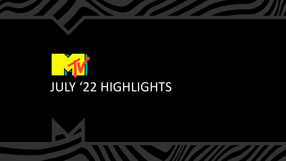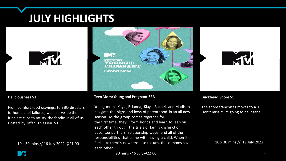# **JULY HIGHLIGHTS**







#### **Deliciousness S3**

From comfort food cravings, to BBQ disasters, to home chef failures, we'll serve up the funniest clips to satisfy the foodie in all of us. Hosted by Tiffani Thiessen. S3

10 x 30 mins // 16 July 2022 @21:00

#### **TeenMom:Young and Pregnant S3B**

Young moms Kayla, Brianna, Kiaya, Rachel, and Madisen navigate the highs and lows of parenthood in an all new season. As the group comes together for the first time, they'll form bonds and learn to lean on each other through the trials of family dysfunction, absentee partners, relationship woes, and all of the responsibilities that come with having a child. When it feels like there's nowhere else to turn, these moms have each other.

#### **Buckhead Shore S1**

The shore franchises moves to ATL. Don't miss it, its going to be insane

10 x 30 mins // 19 July 2022